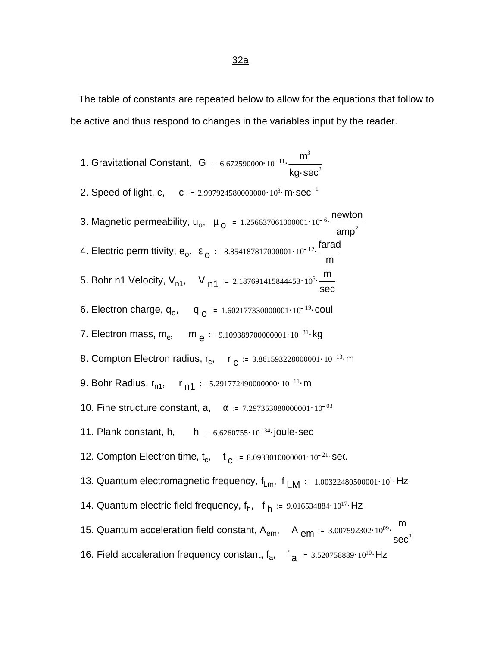The table of constants are repeated below to allow for the equations that follow to be active and thus respond to changes in the variables input by the reader.

1. Gravitational Constant, G := 6.672590000 10<sup>-11</sup> -  $\frac{m^3}{m}$ kg $\cdot$ sec $^2$ 2. Speed of light, c, c :=  $2.997924580000000 \cdot 10^8 \cdot m \cdot sec^{-1}$ 3. Magnetic permeability,  $u_0$ ,  $\mu_0 = 1.256637061000001 \cdot 10^{-6} \cdot \frac{$ newton amp $^2$ 4. Electric permittivity,  $e_o$ ,  $\varepsilon_o$  := 8.854187817000001·10<sup>-12</sup>.  $\frac{\text{farad}}{m}$ m 5. Bohr n1 Velocity, V<sub>n1</sub>, V <sub>n1</sub> := 2.187691415844453 $\cdot$ 10<sup>6</sup>  $\frac{m}{\sec}$ 6. Electron charge,  $q_o$ ,  $q_o = 1.602177330000001 \cdot 10^{-19}$  coul 7. Electron mass, m<sub>e</sub>, metalling the  $9.109389700000001 \cdot 10^{-31}$  kg 8. Compton Electron radius,  $r_c$ ,  $r_c$  = 3.861593228000001 $\cdot$ 10<sup>-13</sup> $\cdot$ m 9. Bohr Radius,  $r_{n1}$ , r  $n1 \approx 5.29177249000000 \cdot 10^{-11}$  m 10. Fine structure constant, a,  $\alpha = 7.297353080000001 \cdot 10^{-03}$ 11. Plank constant, h,  $h = 6.6260755 \cdot 10^{-34}$  joule sec 12. Compton Electron time,  $t_c$ ,  $t_c = 8.0933010000001 \cdot 10^{-21}$  sec. 13. Quantum electromagnetic frequency,  $f_{Lm}$ ,  $f_{LM}$  = 1.00322480500001 10<sup>1</sup> Hz 14. Quantum electric field frequency,  $f_h$ ,  $f_h = 9.016534884 \cdot 10^{17}$  Hz 15. Quantum acceleration field constant,  $A_{em}$ ,  $A_{em}$  = 3.007592302·10<sup>09</sup> m  $\sec^2$ 16. Field acceleration frequency constant,  $f_a$ ,  $f_a = 3.520758889 \cdot 10^{10}$  Hz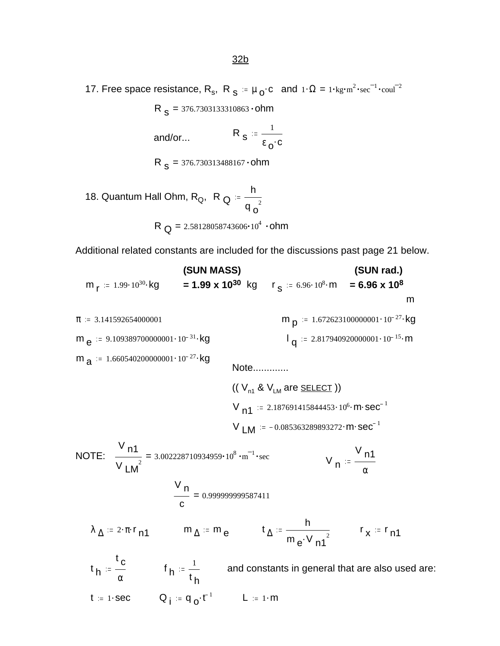17. Free space resistance, R<sub>s</sub>, R<sub>s</sub> :=  $\mu_0$ ·c and  $1 \cdot \Omega = 1 \cdot \text{kg} \cdot \text{m}^2 \cdot \text{sec}^{-1} \cdot \text{coul}^{-2}$ 

 $R_{s}$  = 376.7303133310863  $\cdot$  ohm

and/or... 
$$
R_s := \frac{1}{\epsilon_0 \cdot c}
$$

$$
R_s = 376.730313488167 \cdot ohm
$$

18. Quantum Hall Ohm, R<sub>Q</sub>, R <sub>Q</sub> h  $q_o^2$  $R_{\text{Q}} = 2.58128058743606 \cdot 10^4 \cdot \text{ohm}$ 

Additional related constants are included for the discussions past page 21 below.

**(SUN MASS) (SUN rad.)**  $m_{r} = 1.99 \cdot 10^{30}$  kg **= 1.99 x 10<sup>30</sup>** kg  $r_{s} = 6.96 \cdot 10^{8}$  m **= 6.96 x 10<sup>8</sup>**  m  $\pi$  = 3.141592654000001  $m_p := 1.672623100000001 \cdot 10^{-27}$  kg  $m_e$  := 9.109389700000001 $\cdot$ 10<sup>-31</sup> $\cdot$ kg l q  $1_q$  := 2.817940920000001 · 10<sup>-15</sup> · m  $m_{a}$  := 1.660540200000001 $\cdot$ 10<sup>-27</sup> $\cdot$ kg Note............. (( $V_{n1}$  &  $V_{LM}$  are **SELECT**))  $V_{n1}$  := 2.187691415844453 $\cdot$ 10<sup>6</sup> $\cdot$ m $\cdot$ sec<sup>-1</sup>  $V_{LM}$  = -0.085363289893272 · m · sec<sup>-1</sup> NOTE:  $\frac{11!}{1!}$  =  $V_{\sf n1}$  $\frac{W}{V} = 3.002228710934959 \cdot 10^8 \cdot m^{-1}$  $\frac{\sec}{\theta}$  V n  $V_{\sf n1}$ α = V n c 0.999999999587411  $\lambda_{\Delta} = 2 \cdot \pi \cdot r_{n1}$  m  $\Delta = m_e$  t<sub> $\Delta$ </sub> h  $\frac{1}{m_e \cdot V_{n1}^2}$   $r_x = r_{n1}$ t h t c  $\frac{c}{\alpha}$  f<sub>h</sub> =  $\frac{1}{t}$ t h and constants in general that are also used are: t := 1 $\cdot$ sec  $Q_{j}$  := q<sub>o</sub> $\cdot$ t $^{-1}$   $L$  := 1 $\cdot$ m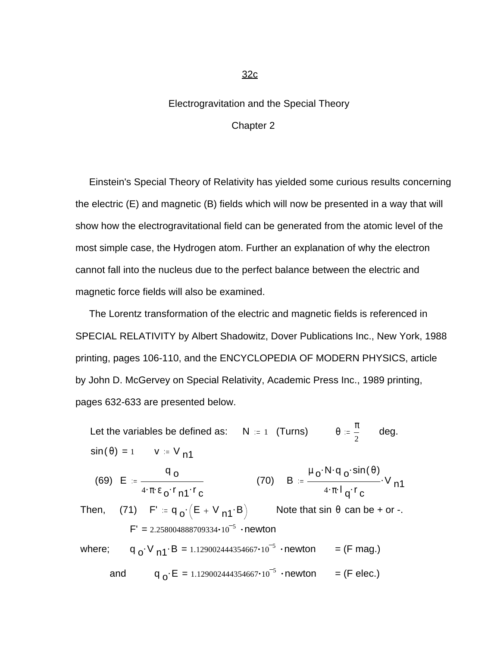## Electrogravitation and the Special Theory

## Chapter 2

 Einstein's Special Theory of Relativity has yielded some curious results concerning the electric (E) and magnetic (B) fields which will now be presented in a way that will show how the electrogravitational field can be generated from the atomic level of the most simple case, the Hydrogen atom. Further an explanation of why the electron cannot fall into the nucleus due to the perfect balance between the electric and magnetic force fields will also be examined.

 The Lorentz transformation of the electric and magnetic fields is referenced in SPECIAL RELATIVITY by Albert Shadowitz, Dover Publications Inc., New York, 1988 printing, pages 106-110, and the ENCYCLOPEDIA OF MODERN PHYSICS, article by John D. McGervey on Special Relativity, Academic Press Inc., 1989 printing, pages 632-633 are presented below.

Let the variables be defined as:  $\mathsf{N} = 1$  (Turns)  $\qquad \theta = \frac{\pi}{2}$ 2 deg.  $sin(\theta) = 1$  v = V <sub>n1</sub>

(69) 
$$
E := \frac{q_0}{4 \cdot \pi \cdot \epsilon_0 r_{n1} \cdot r_c}
$$
 (70)  $B := \frac{\mu_0 \cdot N \cdot q_0 \cdot \sin(\theta)}{4 \cdot \pi \cdot l_q \cdot r_c} \cdot V_{n1}$ 

Then, (71)  $F' = q_o \cdot (E + V_{n1} \cdot B)$  Note that sin  $\theta$  can be + or -.  $F' = 2.258004888709334 \cdot 10^{-5}$  · newton

where; q<sub>o</sub>·V<sub>n1</sub>·B = 1.129002444354667·10<sup>-5</sup> ·newton = (F mag.) and  $q_o$  E = 1.129002444354667 $\cdot$ 10<sup>-5</sup>  $\cdot$ newton = (F elec.)

## 32c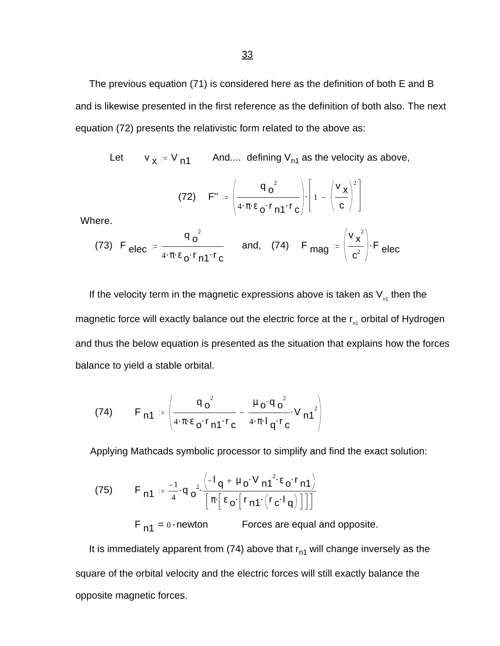The previous equation (71) is considered here as the definition of both E and B and is likewise presented in the first reference as the definition of both also. The next equation (72) presents the relativistic form related to the above as:

Let  $v_{\mathbf{x}} \approx V_{\mathsf{n1}}$  And.... defining V<sub>n1</sub> as the velocity as above,

(72) 
$$
F'' := \left(\frac{q_o^2}{4 \cdot \pi \epsilon_o \cdot r_{n1} \cdot r_c}\right) \cdot \left[1 - \left(\frac{v_x}{c}\right)^2\right]
$$

Where.

(73) F 
$$
\text{elec} = \frac{q_0^2}{4 \cdot \pi \cdot \epsilon_0 \cdot r_{n1} \cdot r_c}
$$
 and, (74) F  $\text{mag} = \left(\frac{v_x^2}{c^2}\right) \cdot F_{\text{elec}}$ 

If the velocity term in the magnetic expressions above is taken as  $V_{n1}$  then the magnetic force will exactly balance out the electric force at the  $r_{n1}$  orbital of Hydrogen and thus the below equation is presented as the situation that explains how the forces balance to yield a stable orbital.

(74) 
$$
F_{n1} = \left(\frac{q_0^2}{4 \cdot \pi \epsilon_0 \cdot r_{n1} \cdot r_c} - \frac{\mu_0 \cdot q_0^2}{4 \cdot \pi \cdot l_q \cdot r_c} \cdot V_{n1}^2\right)
$$

Applying Mathcads symbolic processor to simplify and find the exact solution:

(75) 
$$
F_{n1} := \frac{-1}{4} \cdot q_0^2 \cdot \frac{\left(-I_q + \mu_0 \cdot V_{n1}^2 \cdot \epsilon_0 \cdot r_{n1}\right)}{\left[\pi \left[\epsilon_0 \cdot \left[r_{n1} \cdot \left(r_c \cdot l_q\right)\right]\right]\right]}
$$

 $F_{n1} = 0$  newton Forces are equal and opposite.

It is immediately apparent from (74) above that  $r_{n1}$  will change inversely as the square of the orbital velocity and the electric forces will still exactly balance the opposite magnetic forces.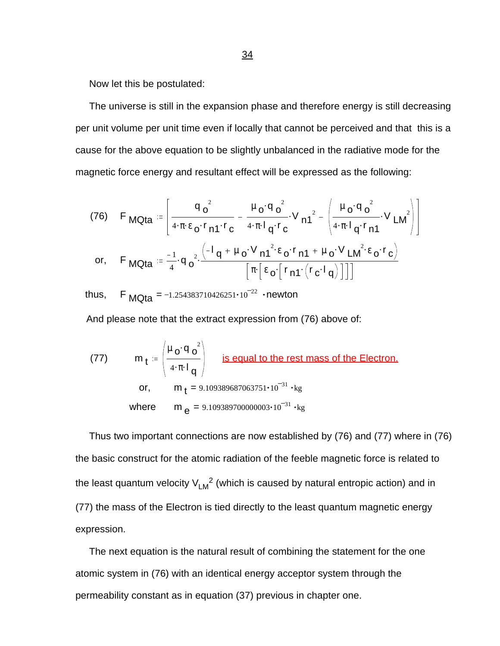Now let this be postulated:

 The universe is still in the expansion phase and therefore energy is still decreasing per unit volume per unit time even if locally that cannot be perceived and that this is a cause for the above equation to be slightly unbalanced in the radiative mode for the magnetic force energy and resultant effect will be expressed as the following:

(76) 
$$
F_{\text{MQta}} := \left[ \frac{q_o^2}{4 \cdot \pi \cdot \epsilon_o \cdot r_{n1} \cdot r_c} - \frac{\mu_o \cdot q_o^2}{4 \cdot \pi \cdot l_q \cdot r_c} \cdot V_{n1}^2 - \left( \frac{\mu_o \cdot q_o^2}{4 \cdot \pi \cdot l_q \cdot r_{n1}} \cdot V_{\text{LM}}^2 \right) \right]
$$
  
or, 
$$
F_{\text{MQta}} := \frac{-1}{4} \cdot q_o^2 \cdot \frac{\left( -1_q + \mu_o \cdot V_{n1}^2 \cdot \epsilon_o \cdot r_{n1} + \mu_o \cdot V_{\text{LM}}^2 \cdot \epsilon_o \cdot r_c \right)}{\left[ \pi \cdot \left[ \epsilon_o \cdot \left[ r_{n1} \cdot (r_c \cdot l_q) \right] \right] \right]}
$$

thus, F  $_{\text{MQta}}$  = -1.254383710426251 $\cdot$ 10<sup>-22</sup>  $\cdot$ newton

And please note that the extract expression from (76) above of:

(77) 
$$
m_t = \left(\frac{\mu_0 \cdot q_0^2}{4 \cdot \pi \cdot l_q}\right)
$$
 is equal to the rest mass of the Electron.  
or,  $m_t = 9.109389687063751 \cdot 10^{-31} \cdot kg$   
where  $m_e = 9.109389700000003 \cdot 10^{-31} \cdot kg$ 

 Thus two important connections are now established by (76) and (77) where in (76) the basic construct for the atomic radiation of the feeble magnetic force is related to the least quantum velocity  $\rm V_{LM}^{-2}$  (which is caused by natural entropic action) and in (77) the mass of the Electron is tied directly to the least quantum magnetic energy expression.

 The next equation is the natural result of combining the statement for the one atomic system in (76) with an identical energy acceptor system through the permeability constant as in equation (37) previous in chapter one.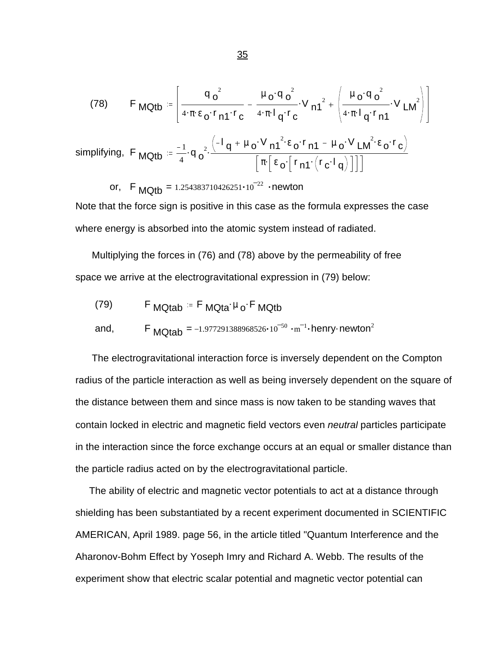(78) 
$$
F_{\text{MQtb}} = \left[ \frac{q_o^2}{4 \cdot \pi \epsilon_o \cdot r_{n1} \cdot r_c} - \frac{\mu_o \cdot q_o^2}{4 \cdot \pi \cdot l_q \cdot r_c} \cdot V_{n1}^2 + \left( \frac{\mu_o \cdot q_o^2}{4 \cdot \pi \cdot l_q \cdot r_{n1}} \cdot V_{\text{LM}}^2 \right) \right]
$$

simplifying, 
$$
F_{\text{MQtb}} = \frac{-1}{4} \cdot q_o^2 \cdot \frac{(q + \mu o \cdot n1)^2 o \cdot n1 - \mu o \cdot \text{LM}^2 o \cdot c}{[\pi [\epsilon_o [\text{r}_{\text{n1}} (\text{r}_c \cdot \text{I}_q)]]]}
$$

or, 
$$
F_{MQ1b} = 1.254383710426251 \cdot 10^{-22}
$$
 -newton

Note that the force sign is positive in this case as the formula expresses the case where energy is absorbed into the atomic system instead of radiated.

 Multiplying the forces in (76) and (78) above by the permeability of free space we arrive at the electrogravitational expression in (79) below:

(79) <sup>F</sup> MQtab <sup>F</sup> . . MQta <sup>μ</sup> <sup>o</sup> F MQtb and, <sup>F</sup> MQtab <sup>=</sup> 1.977291388968526 <sup>10</sup> <sup>50</sup> m 1 henry.newton<sup>2</sup>

 The electrogravitational interaction force is inversely dependent on the Compton radius of the particle interaction as well as being inversely dependent on the square of the distance between them and since mass is now taken to be standing waves that contain locked in electric and magnetic field vectors even *neutral* particles participate in the interaction since the force exchange occurs at an equal or smaller distance than the particle radius acted on by the electrogravitational particle.

 The ability of electric and magnetic vector potentials to act at a distance through shielding has been substantiated by a recent experiment documented in SCIENTIFIC AMERICAN, April 1989. page 56, in the article titled "Quantum Interference and the Aharonov-Bohm Effect by Yoseph Imry and Richard A. Webb. The results of the experiment show that electric scalar potential and magnetic vector potential can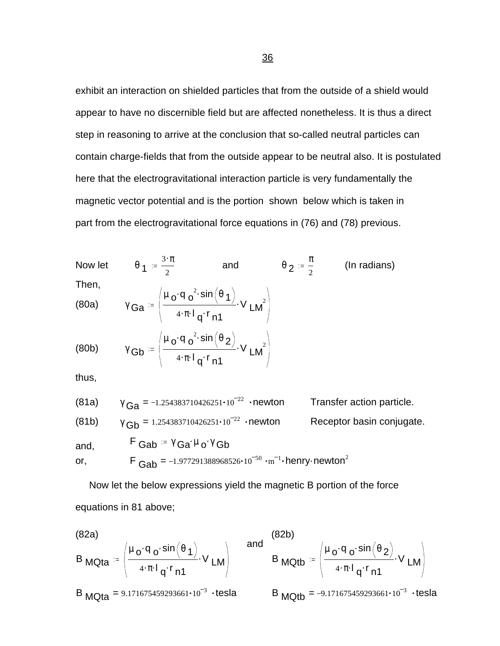exhibit an interaction on shielded particles that from the outside of a shield would appear to have no discernible field but are affected nonetheless. It is thus a direct step in reasoning to arrive at the conclusion that so-called neutral particles can contain charge-fields that from the outside appear to be neutral also. It is postulated here that the electrogravitational interaction particle is very fundamentally the magnetic vector potential and is the portion shown below which is taken in part from the electrogravitational force equations in (76) and (78) previous.

Now let 
$$
\theta_1 := \frac{3 \cdot \pi}{2}
$$
 and  $\theta_2 := \frac{\pi}{2}$  (In radians)  
\nThen,  
\n(80a)  $\gamma_{Ga} := \left(\frac{\mu_0 \cdot q_0^2 \cdot \sin(\theta_1)}{4 \cdot \pi \cdot l_q \cdot r_{n1}} \cdot V_{LM}^2\right)$   
\n(80b)  $\gamma_{Gb} := \left(\frac{\mu_0 \cdot q_0^2 \cdot \sin(\theta_2)}{4 \cdot \pi \cdot l_q \cdot r_{n1}} \cdot V_{LM}^2\right)$ 

thus,

(81a) 
$$
\gamma_{Ga} = -1.254383710426251 \cdot 10^{-22}
$$
 -newton Transfer action particle.  
\n(81b)  $\gamma_{Gb} = 1.254383710426251 \cdot 10^{-22}$  -newton  
\nand,  $F_{Gab} = \gamma_{Ga} \mu_0 \cdot \gamma_{Gb}$   
\nFor,  $F_{Gab} = -1.977291388968526 \cdot 10^{-50}$   $\cdot m^{-1}$  - henry newton<sup>2</sup>

 Now let the below expressions yield the magnetic B portion of the force equations in 81 above;

(82a)  
\n
$$
B_{\text{MQta}} = \left(\frac{\mu_0 \cdot q_0 \cdot \sin(\theta_1)}{4 \cdot \pi \cdot l_q \cdot r_{n1}} \cdot V_{\text{LM}}\right)
$$
\nand\n
$$
B_{\text{MQtb}} = \left(\frac{\mu_0 \cdot q_0 \cdot \sin(\theta_2)}{4 \cdot \pi \cdot l_q \cdot r_{n1}} \cdot V_{\text{LM}}\right)
$$
\n
$$
B_{\text{MQtb}} = -9.171675459293661 \cdot 10^{-3} \cdot \text{tesla}
$$
\n
$$
B_{\text{MQtb}} = -9.171675459293661 \cdot 10^{-3} \cdot \text{tesla}
$$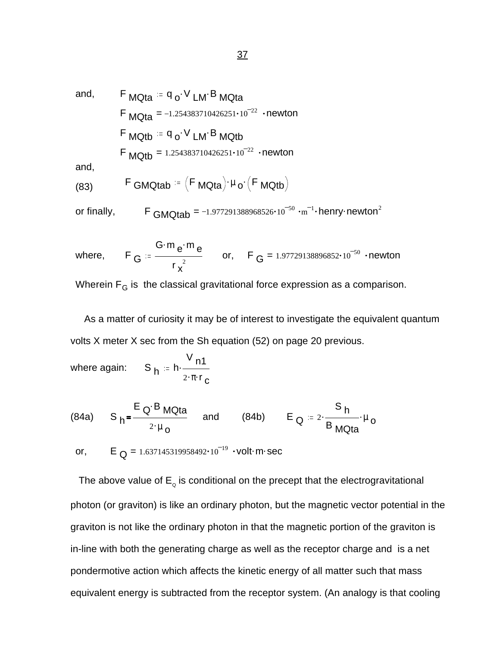and,  
\n
$$
F_{MQta} = q_o \cdot V_{LM} \cdot B_{MQta}
$$
\n
$$
F_{MQta} = -1.254383710426251 \cdot 10^{-22} \cdot newton
$$
\n
$$
F_{MQtb} = q_o \cdot V_{LM} \cdot B_{MQtb}
$$
\n
$$
F_{MQtb} = 1.254383710426251 \cdot 10^{-22} \cdot newton
$$
\nand,  
\n(83) 
$$
F_{GMQtab} = (F_{MQta}) \cdot \mu_o \cdot (F_{MQtb})
$$

or finally,  $\qquad \qquad {\sf F}\text{ GMQtab} = \text{--}1.977291388968526·10^{-50}\cdot \text{m}^{-1}\cdot \text{henry}\cdot \text{newton}^2$ 

where, 
$$
F_G := \frac{G \cdot m_e \cdot m_e}{r_x^2}
$$
 or,  $F_G = 1.97729138896852 \cdot 10^{-50}$  -newton

Wherein  $F_G$  is the classical gravitational force expression as a comparison.

 As a matter of curiosity it may be of interest to investigate the equivalent quantum volts X meter X sec from the Sh equation (52) on page 20 previous.

where again: 
$$
S_h = h \cdot \frac{V_{n1}}{2 \cdot \pi \cdot r_c}
$$

(84a) S <sub>h</sub> E Q<sup>. B</sup> MQta  $2 \cdot \mu$  o and (84b)  $E_Q = 2 \cdot \frac{P_H}{P}$ .  $^{\mathsf{S}}$  h B <sub>MQta</sub> <sup>μ</sup> o

or,  $E_Q = 1.637145319958492 \cdot 10^{-19} \cdot \text{volt·m·sec}$ 

The above value of  $\mathsf{E}_{\alpha}$  is conditional on the precept that the electrogravitational photon (or graviton) is like an ordinary photon, but the magnetic vector potential in the graviton is not like the ordinary photon in that the magnetic portion of the graviton is in-line with both the generating charge as well as the receptor charge and is a net pondermotive action which affects the kinetic energy of all matter such that mass equivalent energy is subtracted from the receptor system. (An analogy is that cooling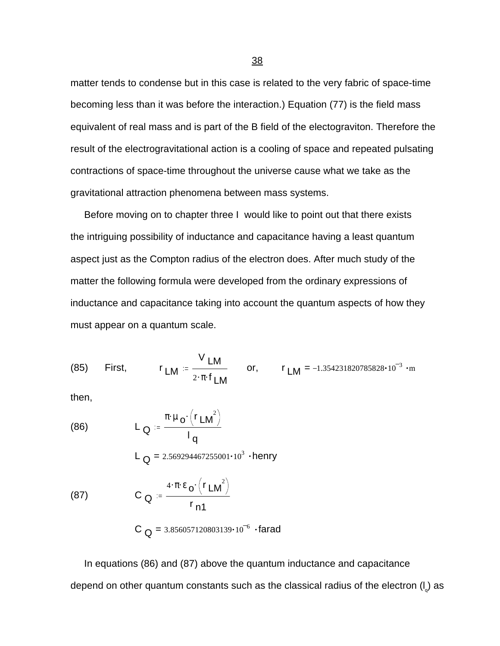matter tends to condense but in this case is related to the very fabric of space-time becoming less than it was before the interaction.) Equation (77) is the field mass equivalent of real mass and is part of the B field of the electograviton. Therefore the result of the electrogravitational action is a cooling of space and repeated pulsating contractions of space-time throughout the universe cause what we take as the gravitational attraction phenomena between mass systems.

 Before moving on to chapter three I would like to point out that there exists the intriguing possibility of inductance and capacitance having a least quantum aspect just as the Compton radius of the electron does. After much study of the matter the following formula were developed from the ordinary expressions of inductance and capacitance taking into account the quantum aspects of how they must appear on a quantum scale.

(85) First, 
$$
r_{LM} = \frac{V_{LM}}{2 \cdot \pi \cdot f_{LM}}
$$
 or,  $r_{LM} = -1.354231820785828 \cdot 10^{-3} \cdot m$ 

then,

(86) 
$$
L_{Q} = \frac{\pi \cdot \mu_{0} \cdot (r_{LM}^{2})}{I_{q}}
$$

$$
L_{Q} = 2.569294467255001 \cdot 10^{3} \cdot \text{henry}
$$

$$
C_{Q} = \frac{4 \cdot \pi \cdot \epsilon_{0} \cdot (r_{LM}^{2})}{r_{n1}}
$$

$$
C_{Q} = 3.856057120803139 \cdot 10^{-6} \cdot \text{farad}
$$

 In equations (86) and (87) above the quantum inductance and capacitance depend on other quantum constants such as the classical radius of the electron (l<sub>a</sub>) as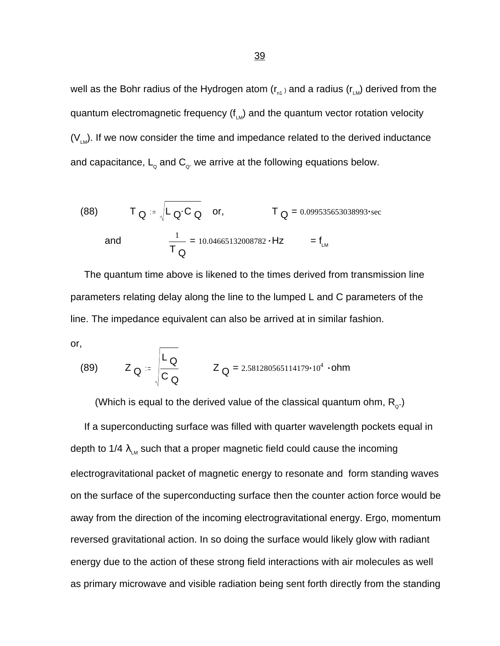well as the Bohr radius of the Hydrogen atom  $(r_{n1})$  and a radius  $(r_{LM})$  derived from the quantum electromagnetic frequency  $(f_{LM})$  and the quantum vector rotation velocity  $(V_{\mu})$ . If we now consider the time and impedance related to the derived inductance and capacitance,  $\mathsf{L}_{_{\mathrm{Q}}}$  and  $\mathsf{C}_{_{\mathrm{Q}}}$  we arrive at the following equations below.

(88) 
$$
T_Q := \sqrt{L_Q \cdot C_Q}
$$
 or,  $T_Q = 0.099535653038993 \cdot \text{sec}$   
and  $\frac{1}{T_Q} = 10.04665132008782 \cdot Hz = f_{LM}$ 

 The quantum time above is likened to the times derived from transmission line parameters relating delay along the line to the lumped L and C parameters of the line. The impedance equivalent can also be arrived at in similar fashion.

or,

(89) 
$$
Z_Q = \frac{L_Q}{\sqrt{C_Q}}
$$
  $Z_Q = 2.581280565114179 \cdot 10^4 \cdot ohm$ 

(Which is equal to the derived value of the classical quantum ohm,  $\mathsf{R}_{_{\mathrm{Q}}})$ 

 If a superconducting surface was filled with quarter wavelength pockets equal in depth to 1/4  $\lambda_{LM}$  such that a proper magnetic field could cause the incoming electrogravitational packet of magnetic energy to resonate and form standing waves on the surface of the superconducting surface then the counter action force would be away from the direction of the incoming electrogravitational energy. Ergo, momentum reversed gravitational action. In so doing the surface would likely glow with radiant energy due to the action of these strong field interactions with air molecules as well as primary microwave and visible radiation being sent forth directly from the standing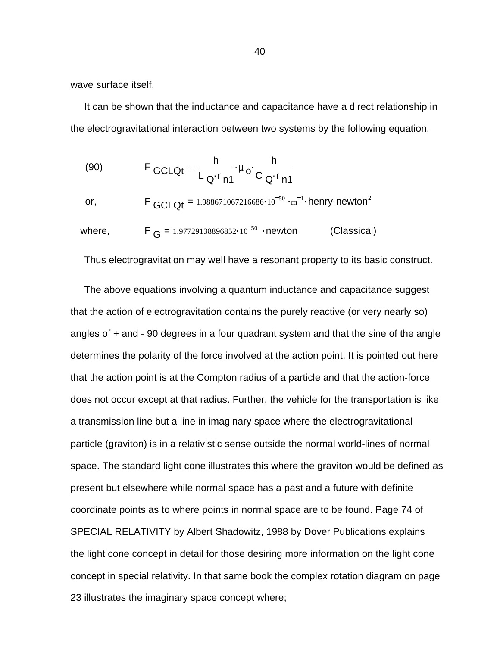wave surface itself.

 It can be shown that the inductance and capacitance have a direct relationship in the electrogravitational interaction between two systems by the following equation.

(90) 
$$
F_{GCLQt} = \frac{h}{L_Q \cdot r_{n1}} \cdot \mu_o \cdot \frac{h}{C_Q \cdot r_{n1}}
$$

or, F $GCLQt = 1.988671067216686 \cdot 10^{-50} \cdot m^{-1} \cdot \text{henry-newton}^2$ 

where,  $F_G = 1.97729138896852 \cdot 10^{-50}$  newton (Classical)

Thus electrogravitation may well have a resonant property to its basic construct.

 The above equations involving a quantum inductance and capacitance suggest that the action of electrogravitation contains the purely reactive (or very nearly so) angles of + and - 90 degrees in a four quadrant system and that the sine of the angle determines the polarity of the force involved at the action point. It is pointed out here that the action point is at the Compton radius of a particle and that the action-force does not occur except at that radius. Further, the vehicle for the transportation is like a transmission line but a line in imaginary space where the electrogravitational particle (graviton) is in a relativistic sense outside the normal world-lines of normal space. The standard light cone illustrates this where the graviton would be defined as present but elsewhere while normal space has a past and a future with definite coordinate points as to where points in normal space are to be found. Page 74 of SPECIAL RELATIVITY by Albert Shadowitz, 1988 by Dover Publications explains the light cone concept in detail for those desiring more information on the light cone concept in special relativity. In that same book the complex rotation diagram on page 23 illustrates the imaginary space concept where;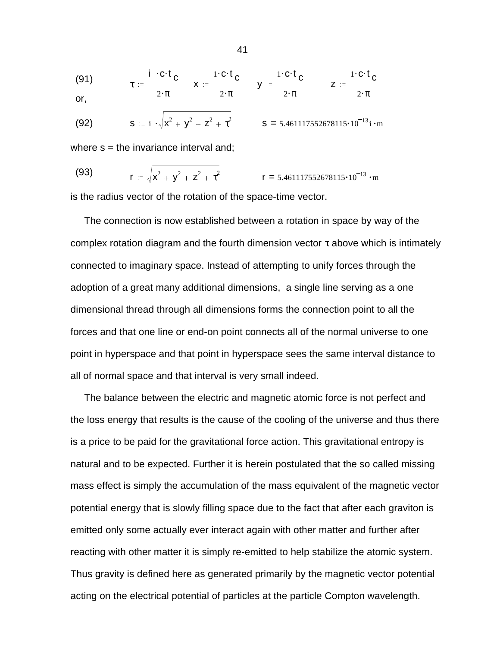(91) 
$$
\tau := \frac{i \cdot c \cdot t_c}{2 \cdot \pi} \qquad x := \frac{1 \cdot c \cdot t_c}{2 \cdot \pi} \qquad y := \frac{1 \cdot c \cdot t_c}{2 \cdot \pi} \qquad z := \frac{1 \cdot c \cdot t_c}{2 \cdot \pi}
$$

or,

(92) 
$$
s := i \cdot \sqrt{x^2 + y^2 + z^2 + z^2}
$$
 
$$
s = 5.461117552678115 \cdot 10^{-13} i \cdot m
$$

where  $s =$  the invariance interval and;

(93) 
$$
r := \sqrt{x^2 + y^2 + z^2 + \tau^2} \qquad r = 5.461117552678115 \cdot 10^{-13} \cdot m
$$

is the radius vector of the rotation of the space-time vector.

 The connection is now established between a rotation in space by way of the complex rotation diagram and the fourth dimension vector  $\tau$  above which is intimately connected to imaginary space. Instead of attempting to unify forces through the adoption of a great many additional dimensions, a single line serving as a one dimensional thread through all dimensions forms the connection point to all the forces and that one line or end-on point connects all of the normal universe to one point in hyperspace and that point in hyperspace sees the same interval distance to all of normal space and that interval is very small indeed.

 The balance between the electric and magnetic atomic force is not perfect and the loss energy that results is the cause of the cooling of the universe and thus there is a price to be paid for the gravitational force action. This gravitational entropy is natural and to be expected. Further it is herein postulated that the so called missing mass effect is simply the accumulation of the mass equivalent of the magnetic vector potential energy that is slowly filling space due to the fact that after each graviton is emitted only some actually ever interact again with other matter and further after reacting with other matter it is simply re-emitted to help stabilize the atomic system. Thus gravity is defined here as generated primarily by the magnetic vector potential acting on the electrical potential of particles at the particle Compton wavelength.